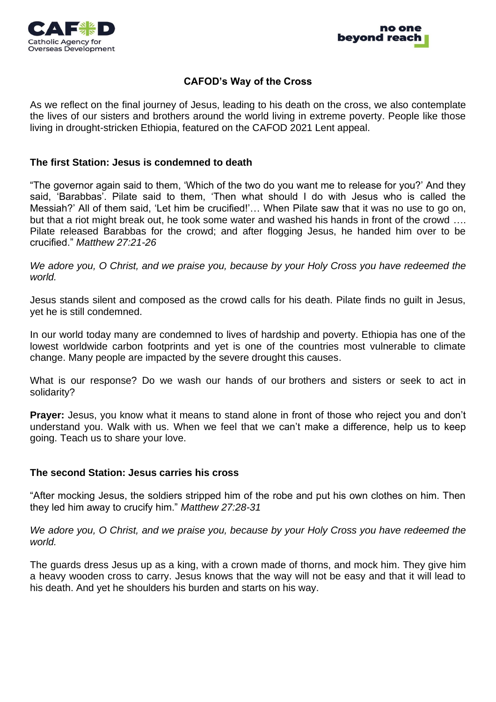



#### **CAFOD's Way of the Cross**

As we reflect on the final journey of Jesus, leading to his death on the cross, we also contemplate the lives of our sisters and brothers around the world living in extreme poverty. People like those living in drought-stricken Ethiopia, featured on the CAFOD 2021 Lent appeal.

#### **The first Station: Jesus is condemned to death**

"The governor again said to them, 'Which of the two do you want me to release for you?' And they said, 'Barabbas'. Pilate said to them, 'Then what should I do with Jesus who is called the Messiah?' All of them said, 'Let him be crucified!'… When Pilate saw that it was no use to go on, but that a riot might break out, he took some water and washed his hands in front of the crowd …. Pilate released Barabbas for the crowd; and after flogging Jesus, he handed him over to be crucified." *Matthew 27:21-26*

*We adore you, O Christ, and we praise you, because by your Holy Cross you have redeemed the world.*

Jesus stands silent and composed as the crowd calls for his death. Pilate finds no guilt in Jesus, yet he is still condemned.

In our world today many are condemned to lives of hardship and poverty. Ethiopia has one of the lowest worldwide carbon footprints and yet is one of the countries most vulnerable to climate change. Many people are impacted by the severe drought this causes.

What is our response? Do we wash our hands of our brothers and sisters or seek to act in solidarity?

**Prayer:** Jesus, you know what it means to stand alone in front of those who reject you and don't understand you. Walk with us. When we feel that we can't make a difference, help us to keep going. Teach us to share your love.

#### **The second Station: Jesus carries his cross**

"After mocking Jesus, the soldiers stripped him of the robe and put his own clothes on him. Then they led him away to crucify him." *Matthew 27:28-31*

*We adore you, O Christ, and we praise you, because by your Holy Cross you have redeemed the world.*

The guards dress Jesus up as a king, with a crown made of thorns, and mock him. They give him a heavy wooden cross to carry. Jesus knows that the way will not be easy and that it will lead to his death. And yet he shoulders his burden and starts on his way.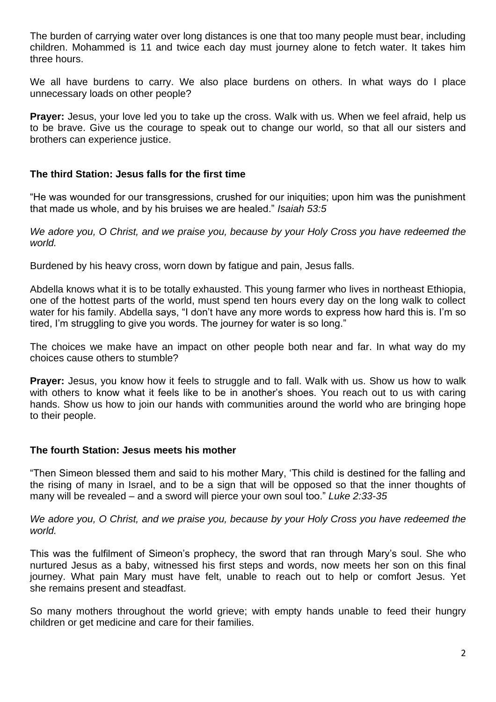The burden of carrying water over long distances is one that too many people must bear, including children. Mohammed is 11 and twice each day must journey alone to fetch water. It takes him three hours.

We all have burdens to carry. We also place burdens on others. In what ways do I place unnecessary loads on other people?

**Prayer:** Jesus, your love led you to take up the cross. Walk with us. When we feel afraid, help us to be brave. Give us the courage to speak out to change our world, so that all our sisters and brothers can experience justice.

# **The third Station: Jesus falls for the first time**

"He was wounded for our transgressions, crushed for our iniquities; upon him was the punishment that made us whole, and by his bruises we are healed." *Isaiah 53:5*

*We adore you, O Christ, and we praise you, because by your Holy Cross you have redeemed the world.*

Burdened by his heavy cross, worn down by fatigue and pain, Jesus falls.

Abdella knows what it is to be totally exhausted. This young farmer who lives in northeast Ethiopia, one of the hottest parts of the world, must spend ten hours every day on the long walk to collect water for his family. Abdella says, "I don't have any more words to express how hard this is. I'm so tired, I'm struggling to give you words. The journey for water is so long."

The choices we make have an impact on other people both near and far. In what way do my choices cause others to stumble?

**Prayer:** Jesus, you know how it feels to struggle and to fall. Walk with us. Show us how to walk with others to know what it feels like to be in another's shoes. You reach out to us with caring hands. Show us how to join our hands with communities around the world who are bringing hope to their people.

# **The fourth Station: Jesus meets his mother**

"Then Simeon blessed them and said to his mother Mary, 'This child is destined for the falling and the rising of many in Israel, and to be a sign that will be opposed so that the inner thoughts of many will be revealed – and a sword will pierce your own soul too." *Luke 2:33-35* 

*We adore you, O Christ, and we praise you, because by your Holy Cross you have redeemed the world.*

This was the fulfilment of Simeon's prophecy, the sword that ran through Mary's soul. She who nurtured Jesus as a baby, witnessed his first steps and words, now meets her son on this final journey. What pain Mary must have felt, unable to reach out to help or comfort Jesus. Yet she remains present and steadfast.

So many mothers throughout the world grieve; with empty hands unable to feed their hungry children or get medicine and care for their families.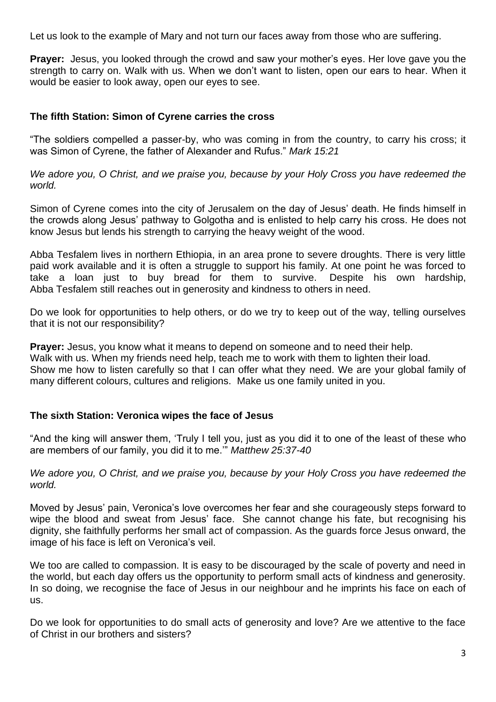Let us look to the example of Mary and not turn our faces away from those who are suffering.

**Prayer:** Jesus, you looked through the crowd and saw your mother's eyes. Her love gave you the strength to carry on. Walk with us. When we don't want to listen, open our ears to hear. When it would be easier to look away, open our eyes to see.

# **The fifth Station: Simon of Cyrene carries the cross**

"The soldiers compelled a passer-by, who was coming in from the country, to carry his cross; it was Simon of Cyrene, the father of Alexander and Rufus." *Mark 15:21*

*We adore you, O Christ, and we praise you, because by your Holy Cross you have redeemed the world.*

Simon of Cyrene comes into the city of Jerusalem on the day of Jesus' death. He finds himself in the crowds along Jesus' pathway to Golgotha and is enlisted to help carry his cross. He does not know Jesus but lends his strength to carrying the heavy weight of the wood.

Abba Tesfalem lives in northern Ethiopia, in an area prone to severe droughts. There is very little paid work available and it is often a struggle to support his family. At one point he was forced to take a loan just to buy bread for them to survive. Despite his own hardship, Abba Tesfalem still reaches out in generosity and kindness to others in need.

Do we look for opportunities to help others, or do we try to keep out of the way, telling ourselves that it is not our responsibility?

**Prayer:** Jesus, you know what it means to depend on someone and to need their help. Walk with us. When my friends need help, teach me to work with them to lighten their load. Show me how to listen carefully so that I can offer what they need. We are your global family of many different colours, cultures and religions. Make us one family united in you.

# **The sixth Station: Veronica wipes the face of Jesus**

"And the king will answer them, 'Truly I tell you, just as you did it to one of the least of these who are members of our family, you did it to me.'" *Matthew 25:37-40*

*We adore you, O Christ, and we praise you, because by your Holy Cross you have redeemed the world.*

Moved by Jesus' pain, Veronica's love overcomes her fear and she courageously steps forward to wipe the blood and sweat from Jesus' face. She cannot change his fate, but recognising his dignity, she faithfully performs her small act of compassion. As the guards force Jesus onward, the image of his face is left on Veronica's veil.

We too are called to compassion. It is easy to be discouraged by the scale of poverty and need in the world, but each day offers us the opportunity to perform small acts of kindness and generosity. In so doing, we recognise the face of Jesus in our neighbour and he imprints his face on each of us.

Do we look for opportunities to do small acts of generosity and love? Are we attentive to the face of Christ in our brothers and sisters?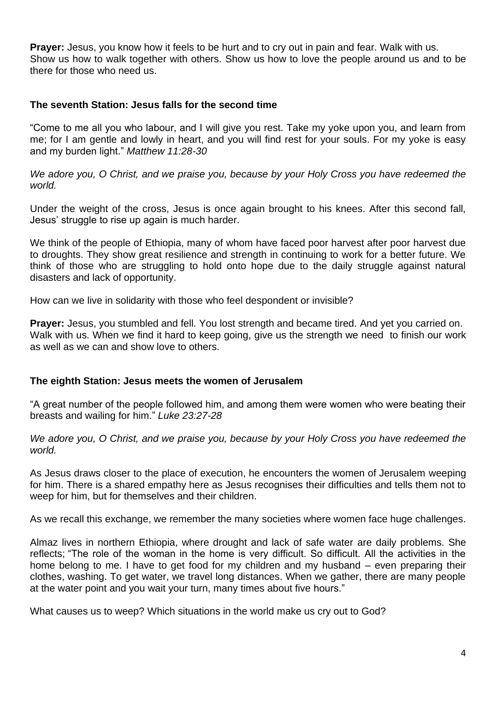**Prayer:** Jesus, you know how it feels to be hurt and to cry out in pain and fear. Walk with us. Show us how to walk together with others. Show us how to love the people around us and to be there for those who need us.

# **The seventh Station: Jesus falls for the second time**

"Come to me all you who labour, and I will give you rest. Take my yoke upon you, and learn from me; for I am gentle and lowly in heart, and you will find rest for your souls. For my yoke is easy and my burden light." *Matthew 11:28-30*

*We adore you, O Christ, and we praise you, because by your Holy Cross you have redeemed the world.*

Under the weight of the cross, Jesus is once again brought to his knees. After this second fall, Jesus' struggle to rise up again is much harder.

We think of the people of Ethiopia, many of whom have faced poor harvest after poor harvest due to droughts. They show great resilience and strength in continuing to work for a better future. We think of those who are struggling to hold onto hope due to the daily struggle against natural disasters and lack of opportunity.

How can we live in solidarity with those who feel despondent or invisible?

**Prayer:** Jesus, you stumbled and fell. You lost strength and became tired. And yet you carried on. Walk with us. When we find it hard to keep going, give us the strength we need to finish our work as well as we can and show love to others.

# **The eighth Station: Jesus meets the women of Jerusalem**

"A great number of the people followed him, and among them were women who were beating their breasts and wailing for him." *Luke 23:27-28*

*We adore you, O Christ, and we praise you, because by your Holy Cross you have redeemed the world.*

As Jesus draws closer to the place of execution, he encounters the women of Jerusalem weeping for him. There is a shared empathy here as Jesus recognises their difficulties and tells them not to weep for him, but for themselves and their children.

As we recall this exchange, we remember the many societies where women face huge challenges.

Almaz lives in northern Ethiopia, where drought and lack of safe water are daily problems. She reflects; "The role of the woman in the home is very difficult. So difficult. All the activities in the home belong to me. I have to get food for my children and my husband – even preparing their clothes, washing. To get water, we travel long distances. When we gather, there are many people at the water point and you wait your turn, many times about five hours."

What causes us to weep? Which situations in the world make us cry out to God?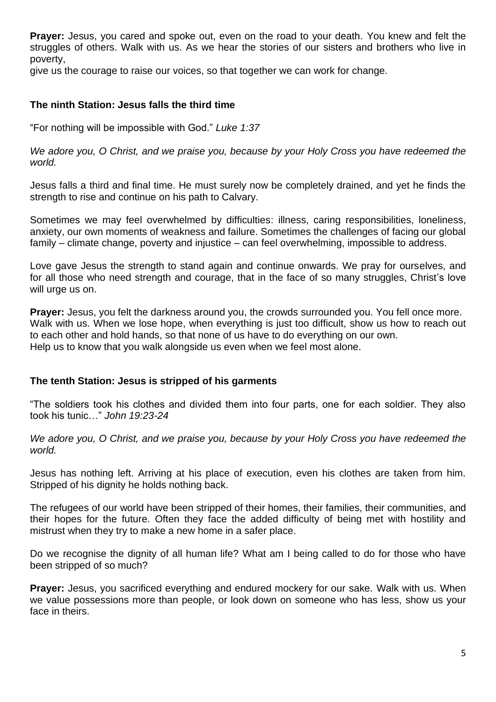**Prayer:** Jesus, you cared and spoke out, even on the road to your death. You knew and felt the struggles of others. Walk with us. As we hear the stories of our sisters and brothers who live in poverty,

give us the courage to raise our voices, so that together we can work for change.

# **The ninth Station: Jesus falls the third time**

"For nothing will be impossible with God." *Luke 1:37* 

*We adore you, O Christ, and we praise you, because by your Holy Cross you have redeemed the world.*

Jesus falls a third and final time. He must surely now be completely drained, and yet he finds the strength to rise and continue on his path to Calvary.

Sometimes we may feel overwhelmed by difficulties: illness, caring responsibilities, loneliness, anxiety, our own moments of weakness and failure. Sometimes the challenges of facing our global family – climate change, poverty and injustice – can feel overwhelming, impossible to address.

Love gave Jesus the strength to stand again and continue onwards. We pray for ourselves, and for all those who need strength and courage, that in the face of so many struggles, Christ's love will urge us on.

**Prayer:** Jesus, you felt the darkness around you, the crowds surrounded you. You fell once more. Walk with us. When we lose hope, when everything is just too difficult, show us how to reach out to each other and hold hands, so that none of us have to do everything on our own. Help us to know that you walk alongside us even when we feel most alone.

# **The tenth Station: Jesus is stripped of his garments**

"The soldiers took his clothes and divided them into four parts, one for each soldier. They also took his tunic…" *John 19:23-24*

*We adore you, O Christ, and we praise you, because by your Holy Cross you have redeemed the world.*

Jesus has nothing left. Arriving at his place of execution, even his clothes are taken from him. Stripped of his dignity he holds nothing back.

The refugees of our world have been stripped of their homes, their families, their communities, and their hopes for the future. Often they face the added difficulty of being met with hostility and mistrust when they try to make a new home in a safer place.

Do we recognise the dignity of all human life? What am I being called to do for those who have been stripped of so much?

**Prayer:** Jesus, you sacrificed everything and endured mockery for our sake. Walk with us. When we value possessions more than people, or look down on someone who has less, show us your face in theirs.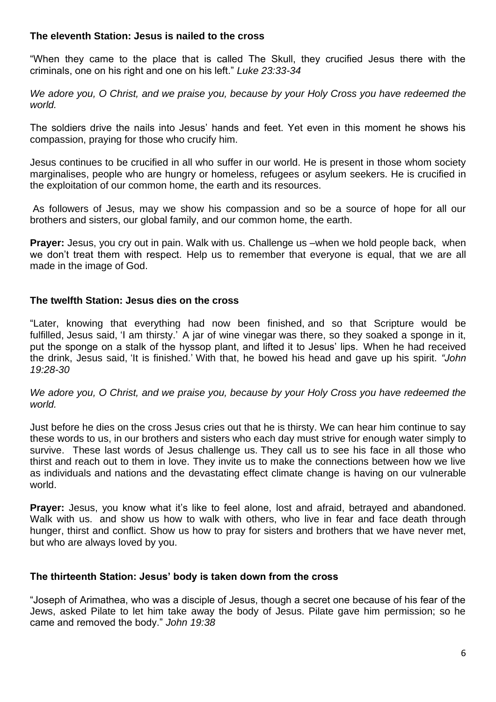# **The eleventh Station: Jesus is nailed to the cross**

"When they came to the place that is called The Skull, they crucified Jesus there with the criminals, one on his right and one on his left." *Luke 23:33-34*

*We adore you, O Christ, and we praise you, because by your Holy Cross you have redeemed the world.*

The soldiers drive the nails into Jesus' hands and feet. Yet even in this moment he shows his compassion, praying for those who crucify him.

Jesus continues to be crucified in all who suffer in our world. He is present in those whom society marginalises, people who are hungry or homeless, refugees or asylum seekers. He is crucified in the exploitation of our common home, the earth and its resources.

As followers of Jesus, may we show his compassion and so be a source of hope for all our brothers and sisters, our global family, and our common home, the earth.

**Prayer:** Jesus, you cry out in pain. Walk with us. Challenge us –when we hold people back, when we don't treat them with respect. Help us to remember that everyone is equal, that we are all made in the image of God.

# **The twelfth Station: Jesus dies on the cross**

"Later, knowing that everything had now been finished, and so that Scripture would be fulfilled, Jesus said, 'I am thirsty.' A jar of wine vinegar was there, so they soaked a sponge in it, put the sponge on a stalk of the hyssop plant, and lifted it to Jesus' lips. When he had received the drink, Jesus said, 'It is finished.' With that, he bowed his head and gave up his spirit. *"John 19:28-30*

*We adore you, O Christ, and we praise you, because by your Holy Cross you have redeemed the world.*

Just before he dies on the cross Jesus cries out that he is thirsty. We can hear him continue to say these words to us, in our brothers and sisters who each day must strive for enough water simply to survive. These last words of Jesus challenge us. They call us to see his face in all those who thirst and reach out to them in love. They invite us to make the connections between how we live as individuals and nations and the devastating effect climate change is having on our vulnerable world.

**Prayer:** Jesus, you know what it's like to feel alone, lost and afraid, betrayed and abandoned. Walk with us. and show us how to walk with others, who live in fear and face death through hunger, thirst and conflict. Show us how to pray for sisters and brothers that we have never met, but who are always loved by you.

# **The thirteenth Station: Jesus' body is taken down from the cross**

"Joseph of Arimathea, who was a disciple of Jesus, though a secret one because of his fear of the Jews, asked Pilate to let him take away the body of Jesus. Pilate gave him permission; so he came and removed the body." *John 19:38*